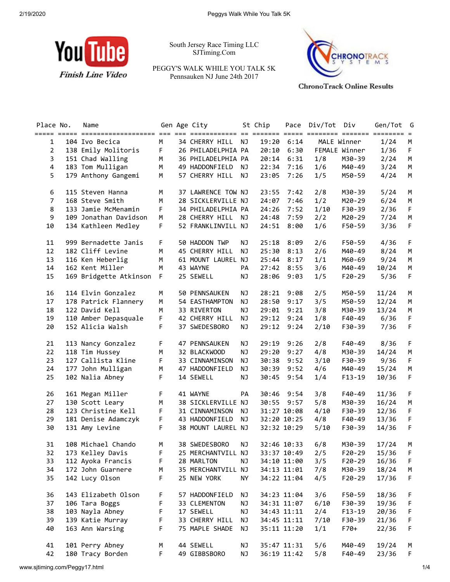

South Jersey Race Timing LLC SJTiming.Com

PEGGY'S WALK WHILE YOU TALK 5K Pennsauken NJ June 24th 2017



**ChronoTrack Online Results** 

| Place No.      | Name                     |             | Gen Age City       |    | St Chip     |             | Pace Div/Tot Div |               | Gen/Tot      | G  |
|----------------|--------------------------|-------------|--------------------|----|-------------|-------------|------------------|---------------|--------------|----|
| $\mathbf{1}$   | 104 Ivo Becica           | M           | 34 CHERRY HILL     | NJ | 19:20       | 6:14        |                  | MALE Winner   | 1/24         | М  |
| $\overline{2}$ | 138 Emily Molitoris      | F           | 26 PHILADELPHIA PA |    | 20:10       | 6:30        |                  | FEMALE Winner | 1/36         | F  |
| 3              | 151 Chad Walling         | M           | 36 PHILADELPHIA PA |    | 20:14       | 6:31        | 1/8              | M30-39        | 2/24         | M  |
| 4              | 183 Tom Mulligan         | M           | 49 HADDONFIELD     | NJ | 22:34       | 7:16        | 1/6              | M40-49        | 3/24         | M  |
| 5              | 179 Anthony Gangemi      | M           | 57 CHERRY HILL     | NJ | 23:05       | 7:26        | 1/5              | M50-59        | 4/24         | M  |
| 6              | 115 Steven Hanna         | M           | 37 LAWRENCE TOW NJ |    | 23:55 7:42  |             | 2/8              | M30-39        | 5/24         | М  |
| $\overline{7}$ | 168 Steve Smith          | M           | 28 SICKLERVILLE NJ |    | 24:07       | 7:46        | 1/2              | M20-29        | 6/24         | М  |
| 8              | 133 Jamie McMenamin      | F           | 34 PHILADELPHIA PA |    | 24:26       | 7:52        | 1/10             | F30-39        | 2/36         | F  |
| 9              | 109 Jonathan Davidson    | M           | 28 CHERRY HILL     | NJ | 24:48       | 7:59        | 2/2              | M20-29        | 7/24         | М  |
| 10             | 134 Kathleen Medley      | F           | 52 FRANKLINVILL NJ |    | 24:51       | 8:00        | 1/6              | F50-59        | 3/36         | F  |
| 11             | 999 Bernadette Janis     | F.          | 50 HADDON TWP      | NJ | 25:18       | 8:09        | 2/6              | F50-59        | 4/36         | F  |
| 12             | 182 Cliff Levine         | М           | 45 CHERRY HILL     | NJ | 25:30       | 8:13        | 2/6              | M40-49        | 8/24         | М  |
| 13             | 116 Ken Heberlig         | M           | 61 MOUNT LAUREL NJ |    | 25:44       | 8:17        | 1/1              | M60-69        | 9/24         | M  |
| 14             | 162 Kent Miller          | М           | 43 WAYNE           | PA | 27:42       | 8:55        | 3/6              | M40-49        | 10/24        | М  |
| 15             | 169 Bridgette Atkinson F |             | 25 SEWELL          | ΝJ | 28:06       | 9:03        | 1/5              | $F20-29$      | 5/36         | F. |
| 16             | 114 Elvin Gonzalez       | М           | 50 PENNSAUKEN      | NJ | 28:21       | 9:08        | 2/5              | M50-59        | 11/24        | М  |
| 17             | 178 Patrick Flannery     | M           | 54 EASTHAMPTON     | NJ | 28:50       | 9:17        | 3/5              | M50-59        | 12/24        | М  |
| 18             | 122 David Kell           | M           | 33 RIVERTON        | NJ | 29:01       | 9:21        | 3/8              | M30-39        | 13/24        | М  |
| 19             | 110 Amber Depasquale     | $\mathsf F$ | 42 CHERRY HILL     | NJ | 29:12       | 9:24        | 1/8              | F40-49        | 6/36         | F  |
| 20             | 152 Alicia Walsh         | F.          | 37 SWEDESBORO      | NJ |             | 29:12 9:24  | 2/10             | F30-39        | 7/36         | F  |
| 21             | 113 Nancy Gonzalez       | F           | 47 PENNSAUKEN      | NJ | 29:19       | 9:26        | 2/8              | F40-49        | 8/36         | F  |
| 22             | 118 Tim Hussey           | M           | 32 BLACKWOOD       | NJ | 29:20       | 9:27        | 4/8              | M30-39        | 14/24        | M  |
| 23             | 127 Callista Kline       | $\mathsf F$ | 33 CINNAMINSON     | NJ | 30:38       | 9:52        | 3/10             | F30-39        | 9/36         | F  |
| 24             | 177 John Mulligan        | M           | 47 HADDONFIELD     | NJ | 30:39 9:52  |             | 4/6              | M40-49        | 15/24        | M  |
| 25             | 102 Nalia Abney          | F.          | 14 SEWELL          | NJ | 30:45       | 9:54        | 1/4              | $F13-19$      | 10/36        | F  |
| 26             | 161 Megan Miller         | $\mathsf F$ | 41 WAYNE           | PA | 30:46       | 9:54        | 3/8              | F40-49        | 11/36        | F  |
| 27             | 130 Scott Leary          | M           | 38 SICKLERVILLE NJ |    | 30:55       | 9:57        | 5/8              | M30-39        | 16/24        | М  |
| 28             | 123 Christine Kell       | $\mathsf F$ | 31 CINNAMINSON     | ΝJ |             | 31:27 10:08 | 4/10             | F30-39        | 12/36        | F  |
| 29             | 181 Denise Adamczyk      | F           | 43 HADDONFIELD     | NJ |             | 32:20 10:25 | 4/8              | F40-49        | 13/36        | F  |
| 30             | 131 Amy Levine           | F.          | 38 MOUNT LAUREL NJ |    |             | 32:32 10:29 | 5/10             | F30-39        | 14/36        | F  |
| 31             | 108 Michael Chando       | M           | 38 SWEDESBORO      | ΝJ | 32:46 10:33 |             | 6/8              | M30-39        | 17/24        | М  |
| 32             | 173 Kelley Davis         | F.          | 25 MERCHANTVILL NJ |    |             | 33:37 10:49 | 2/5              |               | F20-29 15/36 | F  |
| 33             | 112 Ayoka Francis        | F           | 28 MARLTON         | ΝJ |             | 34:10 11:00 | 3/5              | F20-29        | 16/36        | F  |
| 34             | 172 John Guarnere        | М           | 35 MERCHANTVILL NJ |    |             | 34:13 11:01 | 7/8              | M30-39        | 18/24        | M  |
| 35             | 142 Lucy Olson           | F           | 25 NEW YORK        | NY | 34:22 11:04 |             | 4/5              | F20-29        | 17/36        | F  |
| 36             | 143 Elizabeth Olson      | F           | 57 HADDONFIELD     | ΝJ |             | 34:23 11:04 | 3/6              | F50-59        | 18/36        | F  |
| 37             | 106 Tara Boggs           | F           | 33 CLEMENTON       | ΝJ |             | 34:31 11:07 | 6/10             | F30-39        | 19/36        | F  |
| 38             | 103 Nayla Abney          | F           | 17 SEWELL          | ΝJ |             | 34:43 11:11 | 2/4              | $F13 - 19$    | 20/36        | F  |
| 39             | 139 Katie Murray         | F           | 33 CHERRY HILL     | ΝJ |             | 34:45 11:11 | 7/10             | F30-39        | 21/36        | F  |
| 40             | 163 Ann Warsing          | F           | 75 MAPLE SHADE     | NJ | 35:11 11:20 |             | 1/1              | $F70+$        | 22/36        | F  |
| 41             | 101 Perry Abney          | М           | 44 SEWELL          | ΝJ | 35:47 11:31 |             | 5/6              | M40-49        | 19/24        | M  |
| 42             | 180 Tracy Borden         | F           | 49 GIBBSBORO       | NJ | 36:19 11:42 |             | 5/8              | F40-49        | 23/36        | F. |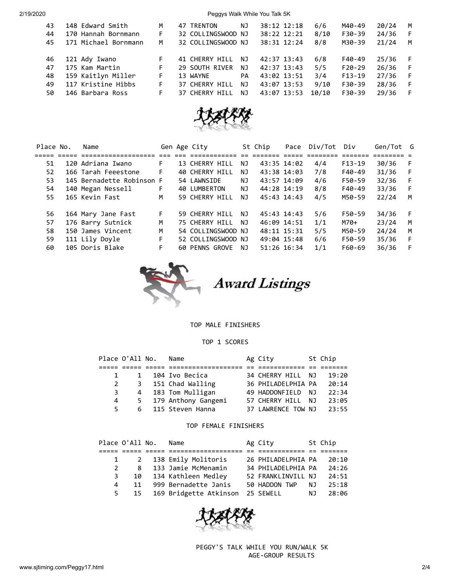2/19/2020 Peggys Walk While You Talk 5K

| 43<br>44<br>45 | 148 Edward Smith<br>170 Hannah Bornmann<br>171 Michael Bornmann | M<br>F<br>M | 47 TRENTON<br>32 COLLINGSWOOD NJ<br>32 COLLINGSWOOD NJ | ΝJ        | 38:12 12:18<br>38:22 12:21<br>38:31 12:24 | 6/6<br>$8/10$<br>8/8 | M40-49<br>F30-39<br>M30-39 | 20/24<br>24/36<br>21/24 | М<br>F<br>М |
|----------------|-----------------------------------------------------------------|-------------|--------------------------------------------------------|-----------|-------------------------------------------|----------------------|----------------------------|-------------------------|-------------|
| 46             | 121 Ady Iwano                                                   | F           | 41 CHERRY HILL                                         | NJ        | 42:37 13:43                               | 6/8                  | F40-49                     | 25/36                   |             |
| 47             | 175 Kam Martin                                                  | F.          | 29 SOUTH RIVER                                         | NJ.       | 42:37 13:43                               | 5/5                  | $F20-29$                   | 26/36                   | F           |
| 48             | 159 Kaitlyn Miller                                              | F           | 13 WAYNE                                               | <b>PA</b> | 43:02 13:51                               | 3/4                  | $F13-19$                   | 27/36                   |             |
| 49             | 117 Kristine Hibbs                                              | F           | 37 CHERRY HILL                                         | NJ        | 43:07 13:53                               | 9/10                 | F30-39                     | 28/36                   | F           |
| 50             | 146 Barbara Ross                                                | F           | 37 CHERRY HILL                                         | NJ.       | 43:07 13:53                               | 10/10                | F30-39                     | 29/36                   |             |



| Place No. | Name                      |    | Gen Age City       |     | St Chip     | Pace | Div/Tot | Div      | Gen/Tot G |    |
|-----------|---------------------------|----|--------------------|-----|-------------|------|---------|----------|-----------|----|
|           |                           |    |                    |     |             |      |         |          |           |    |
| 51        | 120 Adriana Iwano         | F  | 13 CHERRY HILL     | ΝJ  | 43:35 14:02 |      | 4/4     | $F13-19$ | 30/36     | -F |
| 52        | 166 Tarah Feeestone       | F. | 40 CHERRY HILL     | ΝJ  | 43:38 14:03 |      | 7/8     | F40-49   | 31/36     | F  |
| 53        | 145 Bernadette Robinson F |    | 54 LAWNSIDE        | ΝJ  | 43:57 14:09 |      | 4/6     | F50-59   | 32/36     | F  |
| 54        | 140 Megan Nessell         | F  | 40 LUMBERTON       | NJ. | 44:28 14:19 |      | 8/8     | F40-49   | 33/36     | F  |
| 55        | 165 Kevin Fast            | M  | 59 CHERRY HILL     | ΝJ  | 45:43 14:43 |      | 4/5     | M50-59   | 22/24     | M  |
| 56        | 164 Mary Jane Fast        | F  | 59 CHERRY HILL     | ΝJ  | 45:43 14:43 |      | 5/6     | F50-59   | 34/36     | F  |
| 57        | 176 Barry Sutnick         | M  | 75 CHERRY HILL     | NJ. | 46:09 14:51 |      | 1/1     | $M70+$   | 23/24     | M  |
| 58        | 150 James Vincent         | M  | 54 COLLINGSWOOD NJ |     | 48:11 15:31 |      | 5/5     | M50-59   | 24/24     | M  |
| 59        | 111 Lily Doyle            | F. | 52 COLLINGSWOOD NJ |     | 49:04 15:48 |      | 6/6     | F50-59   | 35/36     | F  |
| 60        | 105 Doris Blake           | F  | 60 PENNS GROVE     | NJ. | 51:26 16:34 |      | 1/1     | F60-69   | 36/36     | -F |



**Award Listings** 

TOP MALE FINISHERS

## TOP 1 SCORES

| Place O'All No. |  | Name                  | Ag City            | St Chip |
|-----------------|--|-----------------------|--------------------|---------|
|                 |  |                       |                    |         |
|                 |  | 1 104 Ivo Becica      | 34 CHERRY HILL NJ  | 19:20   |
| 2               |  | 3 151 Chad Walling    | 36 PHILADELPHIA PA | 20:14   |
| 3               |  | 4 183 Tom Mulligan    | 49 HADDONFIELD NJ  | 22:34   |
| 4               |  | 5 179 Anthony Gangemi | 57 CHERRY HILL NJ  | 23:05   |
| 5.              |  | 6 115 Steven Hanna    | 37 LAWRENCE TOW NJ | 23:55   |

## TOP FEMALE FINISHERS

|             | Place O'All No. | Name                                | Ag City            |    | St Chip |
|-------------|-----------------|-------------------------------------|--------------------|----|---------|
|             |                 |                                     |                    |    |         |
|             |                 | 1 2 138 Emily Molitoris             | 26 PHILADELPHIA PA |    | 20:10   |
| $2^{\circ}$ |                 | 8 133 Jamie McMenamin               | 34 PHILADELPHIA PA |    | 24:26   |
| 3           |                 | 10 134 Kathleen Medley              | 52 FRANKLINVILL NJ |    | 24:51   |
| 4           | 11              | 999 Bernadette Janis                | 50 HADDON TWP      | NJ | 25:18   |
| 5           |                 | 15 169 Bridgette Atkinson 25 SEWELL |                    | NJ | 28:06   |



 PEGGY'S TALK WHILE YOU RUN/WALK 5K AGE-GROUP RESULTS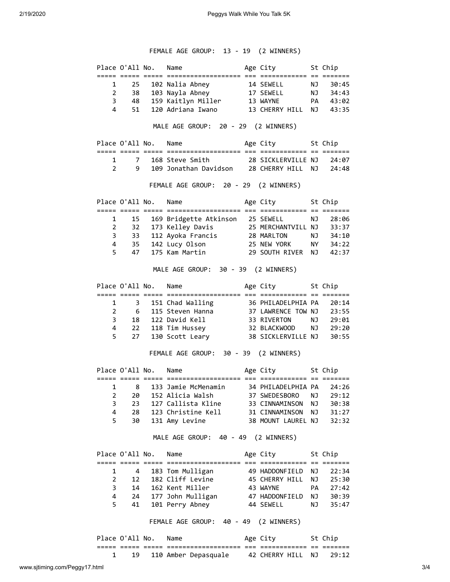## FEMALE AGE GROUP: 13 - 19 (2 WINNERS)

|                |                                                   | Place O'All No.      | Name                                                                                      | Age City 5t Chip   |           |         |
|----------------|---------------------------------------------------|----------------------|-------------------------------------------------------------------------------------------|--------------------|-----------|---------|
|                |                                                   |                      |                                                                                           |                    |           |         |
|                | $\begin{array}{ccc} 1 & 25 \\ 2 & 38 \end{array}$ |                      |                                                                                           |                    |           |         |
| 3              |                                                   |                      |                                                                                           |                    |           |         |
| 4              | 51                                                |                      | 120 Adriana Iwano 13 CHERRY HILL NJ                                                       |                    |           | 43:35   |
|                |                                                   |                      | MALE AGE GROUP: 20 - 29 (2 WINNERS)                                                       |                    |           |         |
|                |                                                   |                      | Place O'All No. Name and Age City St Chip                                                 |                    |           |         |
|                | 1 7                                               |                      |                                                                                           |                    |           |         |
|                | $2^{\sim}$<br>9                                   |                      | 168 Steve Smith 28 SICKLERVILLE NJ 24:07<br>109 Jonathan Davidson 28 CHERRY HILL NJ 24:48 |                    |           |         |
|                |                                                   |                      |                                                                                           |                    |           |         |
|                |                                                   |                      | FEMALE AGE GROUP: 20 - 29 (2 WINNERS)                                                     |                    |           |         |
|                |                                                   | Place O'All No.      | Name                                                                                      | Age City 5t Chip   |           |         |
|                |                                                   |                      |                                                                                           |                    |           |         |
| $\mathbf{1}$   | 15                                                |                      | 169 Bridgette Atkinson 25 SEWELL                                                          |                    | NJ 1      | 28:06   |
| $\overline{2}$ | 32                                                |                      | 173 Kelley Davis 25 MERCHANTVILL NJ 33:37                                                 |                    |           |         |
| 3              |                                                   |                      |                                                                                           |                    |           |         |
| $\overline{4}$ |                                                   |                      |                                                                                           |                    |           |         |
| 5              | 47                                                |                      |                                                                                           |                    |           |         |
|                |                                                   |                      | MALE AGE GROUP: 30 - 39 (2 WINNERS)                                                       |                    |           |         |
|                |                                                   |                      | Place O'All No. Name Mage City St Chip                                                    |                    |           |         |
| $\mathbf{1}$   | $\overline{\mathbf{3}}$                           |                      | 151 Chad Walling 36 PHILADELPHIA PA                                                       |                    |           | 20:14   |
|                | 2 6                                               |                      | 115 Steven Hanna 37 LAWRENCE TOW NJ                                                       |                    |           | 23:55   |
| 3              |                                                   |                      | 18 122 David Kell 33 RIVERTON NJ                                                          |                    |           | 29:01   |
| 4              |                                                   |                      |                                                                                           |                    |           | 29:20   |
| 5              |                                                   |                      |                                                                                           |                    |           | 30:55   |
|                |                                                   |                      | FEMALE AGE GROUP: 30 - 39 (2 WINNERS)                                                     |                    |           |         |
|                |                                                   |                      | Place O'All No. Name Manuel Age City St Chip                                              |                    |           |         |
|                |                                                   |                      |                                                                                           |                    |           |         |
| 1              |                                                   | 8                    | 133 Jamie McMenamin 34 PHILADELPHIA PA                                                    |                    |           | 24:26   |
| 2              | 20                                                |                      | 152 Alicia Walsh                                                                          | 37 SWEDESBORO      | ΝJ        | 29:12   |
| 3              | 23                                                |                      | 127 Callista Kline                                                                        | 33 CINNAMINSON     | ΝJ        | 30:38   |
| 4              | 28                                                |                      | 123 Christine Kell 31 CINNAMINSON                                                         |                    | NJ 1      | 31:27   |
| 5              | 30                                                |                      | 131 Amy Levine                                                                            | 38 MOUNT LAUREL NJ |           | 32:32   |
|                |                                                   |                      | MALE AGE GROUP: 40 - 49 (2 WINNERS)                                                       |                    |           |         |
|                |                                                   | Place O'All No. Name |                                                                                           | Age City           |           | St Chip |
|                |                                                   |                      |                                                                                           | 49 HADDONFIELD NJ  |           |         |
| 1              | $\overline{4}$                                    |                      | 183 Tom Mulligan                                                                          |                    |           | 22:34   |
| $\overline{2}$ | 12                                                |                      | 182 Cliff Levine 45 CHERRY HILL NJ                                                        |                    |           | 25:30   |
| 3              |                                                   |                      | 14 162 Kent Miller                                                                        | 43 WAYNE           | <b>PA</b> | 27:42   |
| 4              |                                                   |                      | 24 177 John Mulligan 47 HADDONFIELD NJ                                                    |                    |           | 30:39   |
| 5              |                                                   |                      | 41 101 Perry Abney 344 SEWELL                                                             |                    | <b>NJ</b> | 35:47   |
|                |                                                   |                      | FEMALE AGE GROUP: 40 - 49 (2 WINNERS)                                                     |                    |           |         |
|                |                                                   | Place O'All No. Name |                                                                                           | Age City 5t Chip   |           |         |
|                | $\mathbf{1}$<br>19                                |                      | 110 Amber Depasquale 42 CHERRY HILL NJ                                                    |                    |           | 29:12   |